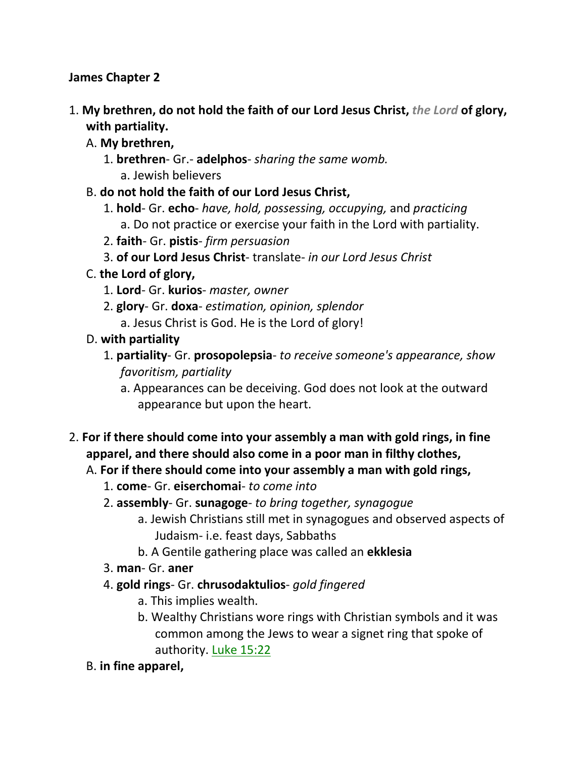### **James Chapter 2**

- 1. **My brethren, do not hold the faith of our Lord Jesus Christ,** *the Lord* **of glory, with partiality.**
	- A. **My brethren,**
		- 1. **brethren** Gr.- **adelphos** *sharing the same womb.*
			- a. Jewish believers
	- B. **do not hold the faith of our Lord Jesus Christ,**
		- 1. **hold** Gr. **echo** *have, hold, possessing, occupying,* and *practicing* a. Do not practice or exercise your faith in the Lord with partiality.
		- 2. **faith** Gr. **pistis** *firm persuasion*
		- 3. **of our Lord Jesus Christ** translate- *in our Lord Jesus Christ*

### C. **the Lord of glory,**

- 1. **Lord** Gr. **kurios** *master, owner*
- 2. **glory** Gr. **doxa** *estimation, opinion, splendor*
	- a. Jesus Christ is God. He is the Lord of glory!

### D. **with partiality**

- 1. **partiality** Gr. **prosopolepsia** *to receive someone's appearance, show favoritism, partiality*
	- a. Appearances can be deceiving. God does not look at the outward appearance but upon the heart.
- 2. **For if there should come into your assembly a man with gold rings, in fine apparel, and there should also come in a poor man in filthy clothes,**

## A. **For if there should come into your assembly a man with gold rings,**

- 1. **come** Gr. **eiserchomai** *to come into*
- 2. **assembly** Gr. **sunagoge** *to bring together, synagogue*
	- a. Jewish Christians still met in synagogues and observed aspects of Judaism- i.e. feast days, Sabbaths
	- b. A Gentile gathering place was called an **ekklesia**
- 3. **man** Gr. **aner**
- 4. **gold rings** Gr. **chrusodaktulios** *gold fingered*
	- a. This implies wealth.
	- b. Wealthy Christians wore rings with Christian symbols and it was common among the Jews to wear a signet ring that spoke of authority. Luke 15:22
- B. **in fine apparel,**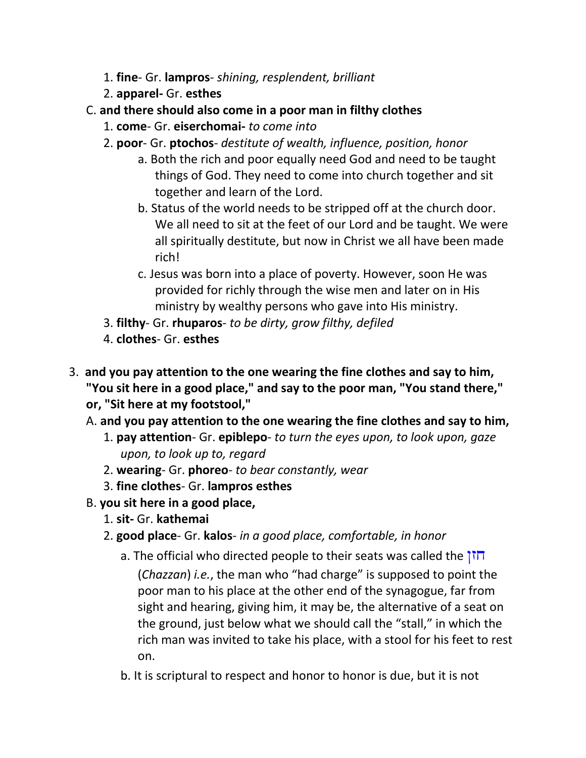- 1. **fine** Gr. **lampros** *shining, resplendent, brilliant*
- 2. **apparel-** Gr. **esthes**
- C. **and there should also come in a poor man in filthy clothes**
	- 1. **come** Gr. **eiserchomai-** *to come into*
	- 2. **poor** Gr. **ptochos** *destitute of wealth, influence, position, honor*
		- a. Both the rich and poor equally need God and need to be taught things of God. They need to come into church together and sit together and learn of the Lord.
		- b. Status of the world needs to be stripped off at the church door. We all need to sit at the feet of our Lord and be taught. We were all spiritually destitute, but now in Christ we all have been made rich!
		- c. Jesus was born into a place of poverty. However, soon He was provided for richly through the wise men and later on in His ministry by wealthy persons who gave into His ministry.
	- 3. **filthy** Gr. **rhuparos** *to be dirty, grow filthy, defiled*
	- 4. **clothes** Gr. **esthes**
- 3. **and you pay attention to the one wearing the fine clothes and say to him, "You sit here in a good place," and say to the poor man, "You stand there," or, "Sit here at my footstool,"** 
	- A. **and you pay attention to the one wearing the fine clothes and say to him,**
		- 1. **pay attention** Gr. **epiblepo** *to turn the eyes upon, to look upon, gaze upon, to look up to, regard*
		- 2. **wearing** Gr. **phoreo** *to bear constantly, wear*
		- 3. **fine clothes** Gr. **lampros esthes**
	- B. **you sit here in a good place,**
		- 1. **sit-** Gr. **kathemai**
		- 2. **good place** Gr. **kalos** *in a good place, comfortable, in honor*
			- a. The official who directed people to their seats was called the  $\overline{11}$ (*Chazzan*) *i.e.*, the man who "had charge" is supposed to point the poor man to his place at the other end of the synagogue, far from sight and hearing, giving him, it may be, the alternative of a seat on the ground, just below what we should call the "stall," in which the rich man was invited to take his place, with a stool for his feet to rest on.
			- b. It is scriptural to respect and honor to honor is due, but it is not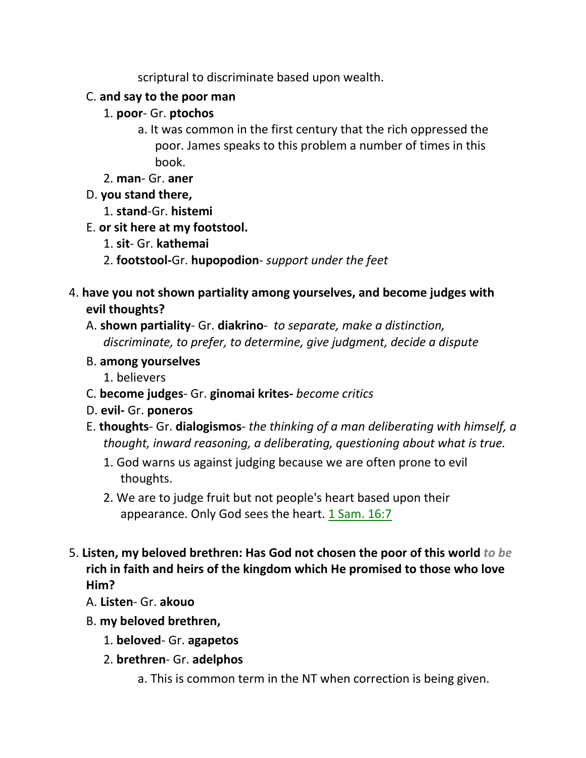scriptural to discriminate based upon wealth.

## C. **and say to the poor man**

- 1. **poor** Gr. **ptochos**
	- a. It was common in the first century that the rich oppressed the poor. James speaks to this problem a number of times in this book.
- 2. **man** Gr. **aner**
- D. **you stand there,**
	- 1. **stand**-Gr. **histemi**
- E. **or sit here at my footstool.**
	- 1. **sit** Gr. **kathemai**
	- 2. **footstool-**Gr. **hupopodion** *support under the feet*
- 4. **have you not shown partiality among yourselves, and become judges with evil thoughts?** 
	- A. **shown partiality** Gr. **diakrino** *to separate, make a distinction, discriminate, to prefer, to determine, give judgment, decide a dispute*
	- B. **among yourselves**
		- 1. believers
	- C. **become judges** Gr. **ginomai krites-** *become critics*
	- D. **evil-** Gr. **poneros**
	- E. **thoughts** Gr. **dialogismos** *the thinking of a man deliberating with himself, a thought, inward reasoning, a deliberating, questioning about what is true.*
		- 1. God warns us against judging because we are often prone to evil thoughts.
		- 2. We are to judge fruit but not people's heart based upon their appearance. Only God sees the heart. 1 Sam. 16:7
- 5. **Listen, my beloved brethren: Has God not chosen the poor of this world** *to be* **rich in faith and heirs of the kingdom which He promised to those who love Him?** 
	- A. **Listen** Gr. **akouo**
	- B. **my beloved brethren,**
		- 1. **beloved** Gr. **agapetos**
		- 2. **brethren** Gr. **adelphos**
			- a. This is common term in the NT when correction is being given.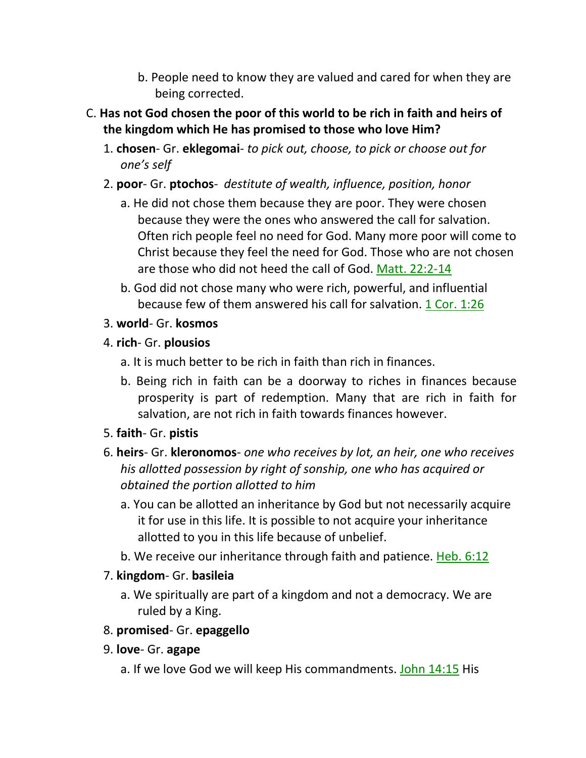- b. People need to know they are valued and cared for when they are being corrected.
- C. **Has not God chosen the poor of this world to be rich in faith and heirs of the kingdom which He has promised to those who love Him?**
	- 1. **chosen** Gr. **eklegomai** *to pick out, choose, to pick or choose out for one's self*
	- 2. **poor** Gr. **ptochos** *destitute of wealth, influence, position, honor*
		- a. He did not chose them because they are poor. They were chosen because they were the ones who answered the call for salvation. Often rich people feel no need for God. Many more poor will come to Christ because they feel the need for God. Those who are not chosen are those who did not heed the call of God. Matt. 22:2-14
		- b. God did not chose many who were rich, powerful, and influential because few of them answered his call for salvation. 1 Cor. 1:26
	- 3. **world** Gr. **kosmos**
	- 4. **rich** Gr. **plousios**
		- a. It is much better to be rich in faith than rich in finances.
		- b. Being rich in faith can be a doorway to riches in finances because prosperity is part of redemption. Many that are rich in faith for salvation, are not rich in faith towards finances however.

## 5. **faith**- Gr. **pistis**

- 6. **heirs** Gr. **kleronomos** *one who receives by lot, an heir, one who receives his allotted possession by right of sonship, one who has acquired or obtained the portion allotted to him*
	- a. You can be allotted an inheritance by God but not necessarily acquire it for use in this life. It is possible to not acquire your inheritance allotted to you in this life because of unbelief.
	- b. We receive our inheritance through faith and patience. Heb. 6:12

## 7. **kingdom**- Gr. **basileia**

a. We spiritually are part of a kingdom and not a democracy. We are ruled by a King.

#### 8. **promised**- Gr. **epaggello**

- 9. **love** Gr. **agape**
	- a. If we love God we will keep His commandments. John 14:15 His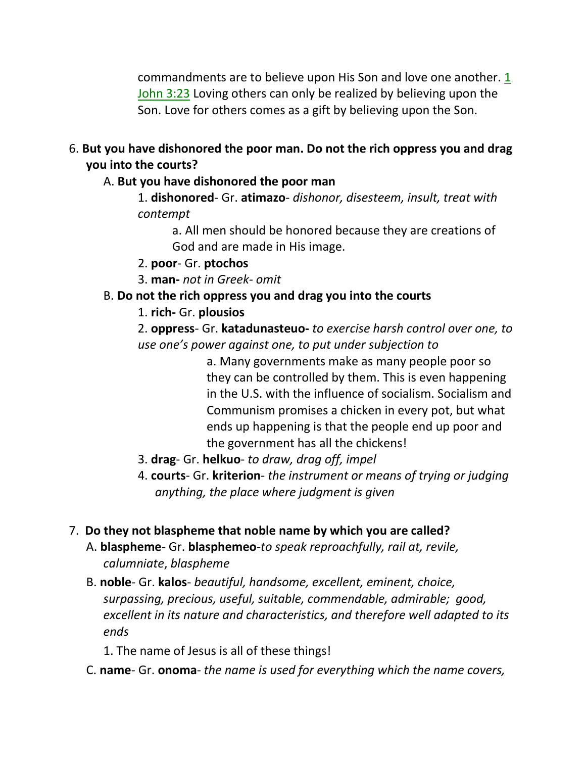commandments are to believe upon His Son and love one another. 1 John 3:23 Loving others can only be realized by believing upon the Son. Love for others comes as a gift by believing upon the Son.

6. **But you have dishonored the poor man. Do not the rich oppress you and drag you into the courts?** 

## A. **But you have dishonored the poor man**

1. **dishonored**- Gr. **atimazo**- *dishonor, disesteem, insult, treat with contempt*

a. All men should be honored because they are creations of God and are made in His image.

- 2. **poor** Gr. **ptochos**
- 3. **man-** *not in Greek- omit*

## B. **Do not the rich oppress you and drag you into the courts**

1. **rich-** Gr. **plousios**

2. **oppress**- Gr. **katadunasteuo-** *to exercise harsh control over one, to use one's power against one, to put under subjection to*

> a. Many governments make as many people poor so they can be controlled by them. This is even happening in the U.S. with the influence of socialism. Socialism and Communism promises a chicken in every pot, but what ends up happening is that the people end up poor and the government has all the chickens!

- 3. **drag** Gr. **helkuo** *to draw, drag off, impel*
- 4. **courts** Gr. **kriterion** *the instrument or means of trying or judging anything, the place where judgment is given*

## 7. **Do they not blaspheme that noble name by which you are called?**

- A. **blaspheme** Gr. **blasphemeo**-*to speak reproachfully, rail at, revile, calumniate*, *blaspheme*
- B. **noble** Gr. **kalos** *beautiful, handsome, excellent, eminent, choice, surpassing, precious, useful, suitable, commendable, admirable; good, excellent in its nature and characteristics, and therefore well adapted to its ends*
	- 1. The name of Jesus is all of these things!
- C. **name** Gr. **onoma** *the name is used for everything which the name covers,*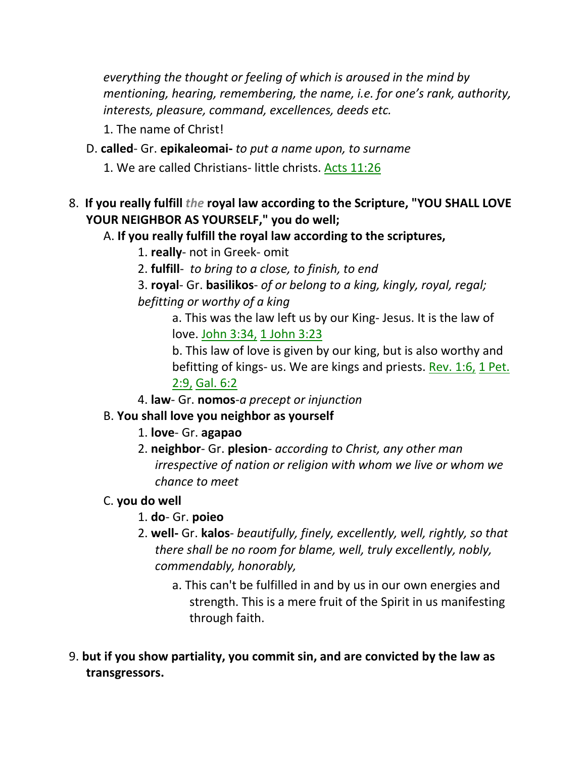*everything the thought or feeling of which is aroused in the mind by mentioning, hearing, remembering, the name, i.e. for one's rank, authority, interests, pleasure, command, excellences, deeds etc.*

- 1. The name of Christ!
- D. **called** Gr. **epikaleomai-** *to put a name upon, to surname*
	- 1. We are called Christians- little christs. Acts 11:26

## 8. **If you really fulfill** *the* **royal law according to the Scripture, "YOU SHALL LOVE YOUR NEIGHBOR AS YOURSELF," you do well;**

#### A. **If you really fulfill the royal law according to the scriptures,**

1. **really**- not in Greek- omit

2. **fulfill**- *to bring to a close, to finish, to end*

3. **royal**- Gr. **basilikos**- *of or belong to a king, kingly, royal, regal; befitting or worthy of a king*

a. This was the law left us by our King- Jesus. It is the law of love. John 3:34, 1 John 3:23

b. This law of love is given by our king, but is also worthy and befitting of kings- us. We are kings and priests. Rev. 1:6, 1 Pet. 2:9, Gal. 6:2

4. **law**- Gr. **nomos**-*a precept or injunction*

#### B. **You shall love you neighbor as yourself**

- 1. **love** Gr. **agapao**
- 2. **neighbor** Gr. **plesion** *according to Christ, any other man irrespective of nation or religion with whom we live or whom we chance to meet*

#### C. **you do well**

- 1. **do** Gr. **poieo**
- 2. **well-** Gr. **kalos** *beautifully, finely, excellently, well, rightly, so that there shall be no room for blame, well, truly excellently, nobly, commendably, honorably,*
	- a. This can't be fulfilled in and by us in our own energies and strength. This is a mere fruit of the Spirit in us manifesting through faith.
- 9. **but if you show partiality, you commit sin, and are convicted by the law as transgressors.**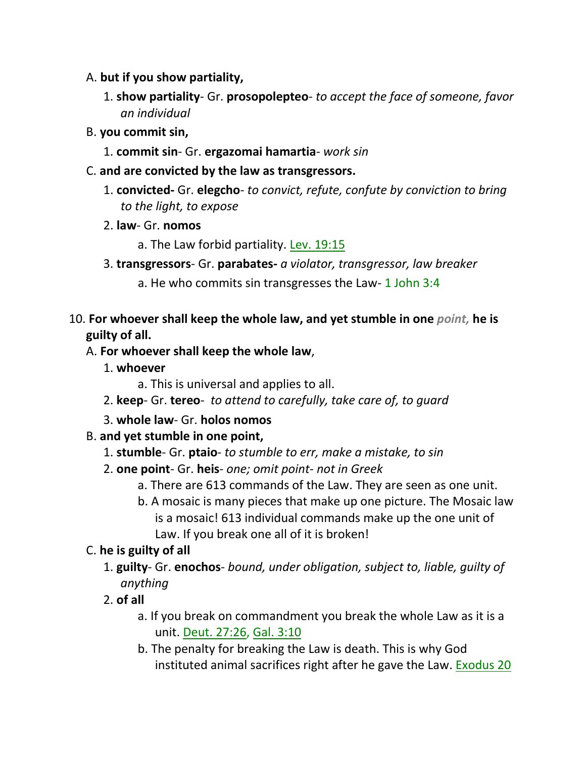- A. **but if you show partiality,**
	- 1. **show partiality** Gr. **prosopolepteo** *to accept the face of someone, favor an individual*
- B. **you commit sin,**
	- 1. **commit sin** Gr. **ergazomai hamartia** *work sin*
- C. **and are convicted by the law as transgressors.**
	- 1. **convicted-** Gr. **elegcho** *to convict, refute, confute by conviction to bring to the light, to expose*
	- 2. **law** Gr. **nomos**
		- a. The Law forbid partiality. Lev. 19:15
	- 3. **transgressors** Gr. **parabates-** *a violator, transgressor, law breaker*
		- a. He who commits sin transgresses the Law- 1 John 3:4
- 10. **For whoever shall keep the whole law, and yet stumble in one** *point,* **he is guilty of all.** 
	- A. **For whoever shall keep the whole law**,
		- 1. **whoever**
			- a. This is universal and applies to all.
		- 2. **keep** Gr. **tereo** *to attend to carefully, take care of, to guard*
		- 3. **whole law** Gr. **holos nomos**
	- B. **and yet stumble in one point,**
		- 1. **stumble** Gr. **ptaio** *to stumble to err, make a mistake, to sin*
		- 2. **one point** Gr. **heis** *one; omit point- not in Greek*
			- a. There are 613 commands of the Law. They are seen as one unit.
			- b. A mosaic is many pieces that make up one picture. The Mosaic law is a mosaic! 613 individual commands make up the one unit of Law. If you break one all of it is broken!
	- C. **he is guilty of all**
		- 1. **guilty** Gr. **enochos** *bound, under obligation, subject to, liable, guilty of anything*
		- 2. **of all**
			- a. If you break on commandment you break the whole Law as it is a unit. Deut. 27:26, Gal. 3:10
			- b. The penalty for breaking the Law is death. This is why God instituted animal sacrifices right after he gave the Law. Exodus 20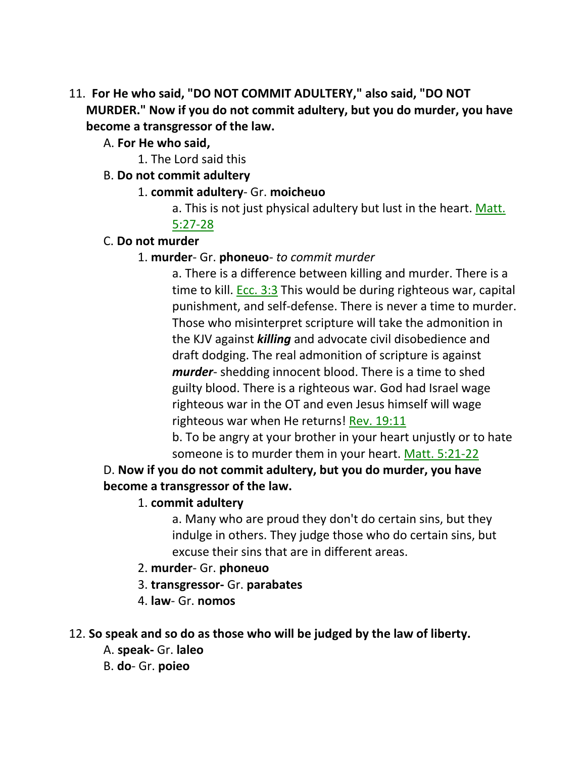11. **For He who said, "DO NOT COMMIT ADULTERY," also said, "DO NOT MURDER." Now if you do not commit adultery, but you do murder, you have become a transgressor of the law.** 

## A. **For He who said,**

1. The Lord said this

## B. **Do not commit adultery**

## 1. **commit adultery**- Gr. **moicheuo**

a. This is not just physical adultery but lust in the heart. Matt.

## 5:27-28

## C. **Do not murder**

## 1. **murder**- Gr. **phoneuo**- *to commit murder*

a. There is a difference between killing and murder. There is a time to kill. Ecc. 3:3 This would be during righteous war, capital punishment, and self-defense. There is never a time to murder. Those who misinterpret scripture will take the admonition in the KJV against *killing* and advocate civil disobedience and draft dodging. The real admonition of scripture is against *murder*- shedding innocent blood. There is a time to shed guilty blood. There is a righteous war. God had Israel wage righteous war in the OT and even Jesus himself will wage righteous war when He returns! Rev. 19:11

b. To be angry at your brother in your heart unjustly or to hate someone is to murder them in your heart. Matt. 5:21-22

# D. **Now if you do not commit adultery, but you do murder, you have become a transgressor of the law.**

## 1. **commit adultery**

a. Many who are proud they don't do certain sins, but they indulge in others. They judge those who do certain sins, but excuse their sins that are in different areas.

## 2. **murder**- Gr. **phoneuo**

- 3. **transgressor-** Gr. **parabates**
- 4. **law** Gr. **nomos**

## 12. **So speak and so do as those who will be judged by the law of liberty.**

- A. **speak-** Gr. **laleo**
- B. **do** Gr. **poieo**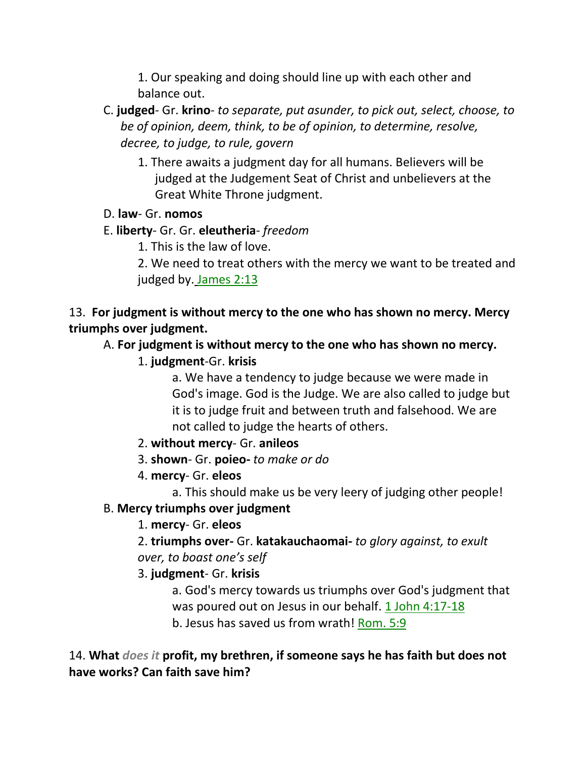1. Our speaking and doing should line up with each other and balance out.

- C. **judged** Gr. **krino** *to separate, put asunder, to pick out, select, choose, to be of opinion, deem, think, to be of opinion, to determine, resolve, decree, to judge, to rule, govern*
	- 1. There awaits a judgment day for all humans. Believers will be judged at the Judgement Seat of Christ and unbelievers at the Great White Throne judgment.

### D. **law**- Gr. **nomos**

## E. **liberty**- Gr. Gr. **eleutheria**- *freedom*

1. This is the law of love.

2. We need to treat others with the mercy we want to be treated and judged by. James 2:13

## 13. **For judgment is without mercy to the one who has shown no mercy. Mercy triumphs over judgment.**

## A. **For judgment is without mercy to the one who has shown no mercy.**

1. **judgment**-Gr. **krisis**

a. We have a tendency to judge because we were made in God's image. God is the Judge. We are also called to judge but it is to judge fruit and between truth and falsehood. We are not called to judge the hearts of others.

## 2. **without mercy**- Gr. **anileos**

## 3. **shown**- Gr. **poieo-** *to make or do*

## 4. **mercy**- Gr. **eleos**

a. This should make us be very leery of judging other people!

## B. **Mercy triumphs over judgment**

## 1. **mercy**- Gr. **eleos**

2. **triumphs over-** Gr. **katakauchaomai-** *to glory against, to exult over, to boast one's self*

3. **judgment**- Gr. **krisis**

a. God's mercy towards us triumphs over God's judgment that was poured out on Jesus in our behalf. 1 John 4:17-18 b. Jesus has saved us from wrath! Rom. 5:9

## 14. **What** *does it* **profit, my brethren, if someone says he has faith but does not have works? Can faith save him?**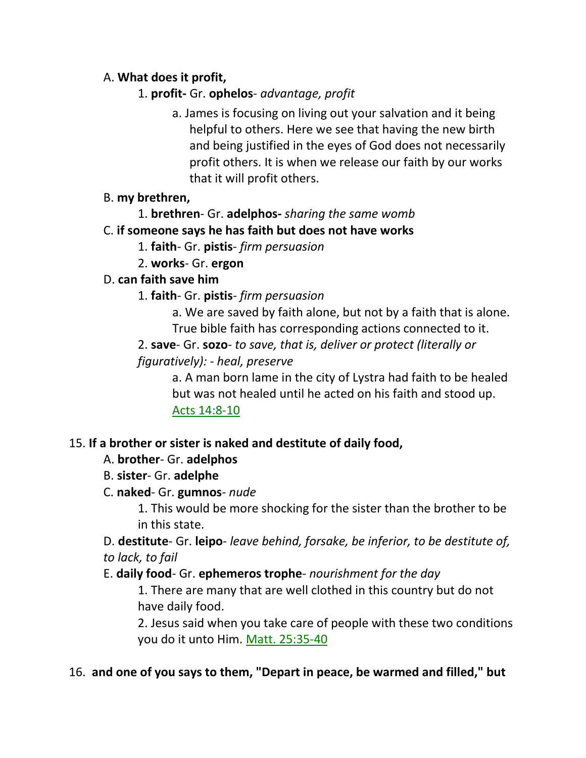### A. **What does it profit,**

1. **profit-** Gr. **ophelos**- *advantage, profit*

a. James is focusing on living out your salvation and it being helpful to others. Here we see that having the new birth and being justified in the eyes of God does not necessarily profit others. It is when we release our faith by our works that it will profit others.

### B. **my brethren,**

1. **brethren**- Gr. **adelphos-** *sharing the same womb*

## C. **if someone says he has faith but does not have works**

1. **faith**- Gr. **pistis**- *firm persuasion*

- 2. **works** Gr. **ergon**
- D. **can faith save him**
	- 1. **faith** Gr. **pistis** *firm persuasion*

a. We are saved by faith alone, but not by a faith that is alone. True bible faith has corresponding actions connected to it.

2. **save**- Gr. **sozo**- *to save, that is, deliver or protect (literally or figuratively): - heal, preserve*

a. A man born lame in the city of Lystra had faith to be healed but was not healed until he acted on his faith and stood up. Acts 14:8-10

## 15. **If a brother or sister is naked and destitute of daily food,**

- A. **brother** Gr. **adelphos**
- B. **sister** Gr. **adelphe**
- C. **naked** Gr. **gumnos** *nude*

1. This would be more shocking for the sister than the brother to be in this state.

D. **destitute**- Gr. **leipo**- *leave behind, forsake, be inferior, to be destitute of, to lack, to fail*

E. **daily food**- Gr. **ephemeros trophe**- *nourishment for the day*

1. There are many that are well clothed in this country but do not have daily food.

2. Jesus said when you take care of people with these two conditions you do it unto Him. Matt. 25:35-40

## 16. **and one of you says to them, "Depart in peace, be warmed and filled," but**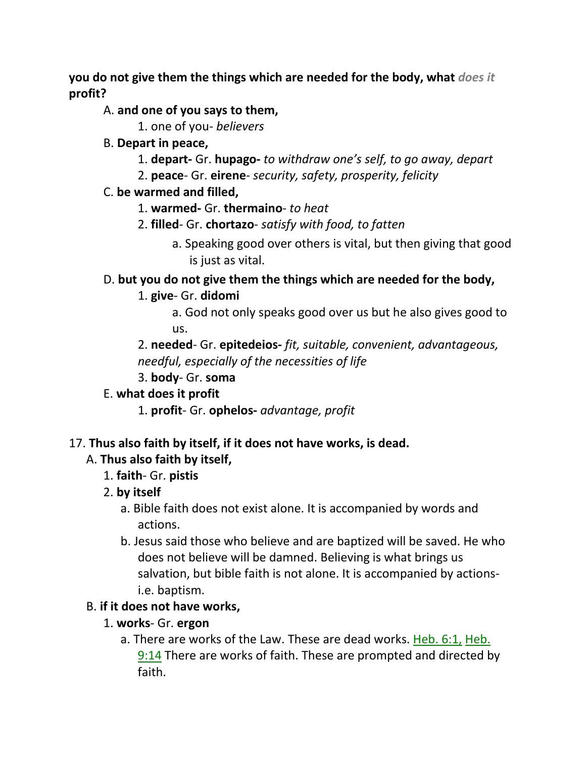**you do not give them the things which are needed for the body, what** *does it* **profit?**

#### A. **and one of you says to them,**

1. one of you- *believers*

- B. **Depart in peace,**
	- 1. **depart-** Gr. **hupago-** *to withdraw one's self, to go away, depart*
	- 2. **peace** Gr. **eirene** *security, safety, prosperity, felicity*

## C. **be warmed and filled,**

- 1. **warmed-** Gr. **thermaino** *to heat*
- 2. **filled** Gr. **chortazo** *satisfy with food, to fatten*
	- a. Speaking good over others is vital, but then giving that good is just as vital.

## D. **but you do not give them the things which are needed for the body,**

1. **give**- Gr. **didomi**

a. God not only speaks good over us but he also gives good to us.

2. **needed**- Gr. **epitedeios-** *fit, suitable, convenient, advantageous, needful, especially of the necessities of life*

3. **body**- Gr. **soma**

#### E. **what does it profit**

1. **profit**- Gr. **ophelos-** *advantage, profit*

## 17. **Thus also faith by itself, if it does not have works, is dead.**

## A. **Thus also faith by itself,**

1. **faith**- Gr. **pistis**

## 2. **by itself**

- a. Bible faith does not exist alone. It is accompanied by words and actions.
- b. Jesus said those who believe and are baptized will be saved. He who does not believe will be damned. Believing is what brings us salvation, but bible faith is not alone. It is accompanied by actionsi.e. baptism.

## B. **if it does not have works,**

#### 1. **works**- Gr. **ergon**

a. There are works of the Law. These are dead works. Heb. 6:1, Heb. 9:14 There are works of faith. These are prompted and directed by faith.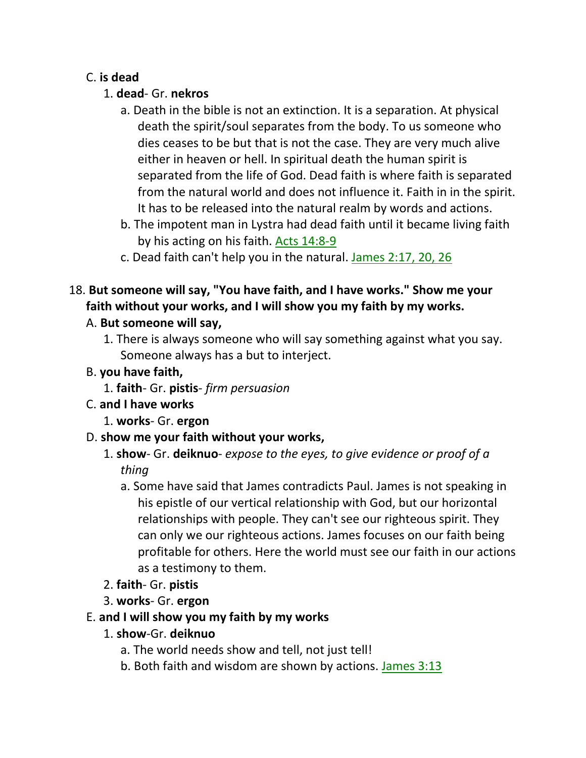## C. **is dead**

- 1. **dead** Gr. **nekros**
	- a. Death in the bible is not an extinction. It is a separation. At physical death the spirit/soul separates from the body. To us someone who dies ceases to be but that is not the case. They are very much alive either in heaven or hell. In spiritual death the human spirit is separated from the life of God. Dead faith is where faith is separated from the natural world and does not influence it. Faith in in the spirit. It has to be released into the natural realm by words and actions.
	- b. The impotent man in Lystra had dead faith until it became living faith by his acting on his faith. Acts 14:8-9
	- c. Dead faith can't help you in the natural. James 2:17, 20, 26
- 18. **But someone will say, "You have faith, and I have works." Show me your faith without your works, and I will show you my faith by my works.**

## A. **But someone will say,**

1. There is always someone who will say something against what you say. Someone always has a but to interject.

## B. **you have faith,**

- 1. **faith** Gr. **pistis** *firm persuasion*
- C. **and I have works**
	- 1. **works** Gr. **ergon**
- D. **show me your faith without your works,**
	- 1. **show** Gr. **deiknuo** *expose to the eyes, to give evidence or proof of a thing*
		- a. Some have said that James contradicts Paul. James is not speaking in his epistle of our vertical relationship with God, but our horizontal relationships with people. They can't see our righteous spirit. They can only we our righteous actions. James focuses on our faith being profitable for others. Here the world must see our faith in our actions as a testimony to them.
	- 2. **faith** Gr. **pistis**
	- 3. **works** Gr. **ergon**

# E. **and I will show you my faith by my works**

- 1. **show**-Gr. **deiknuo**
	- a. The world needs show and tell, not just tell!
	- b. Both faith and wisdom are shown by actions. James 3:13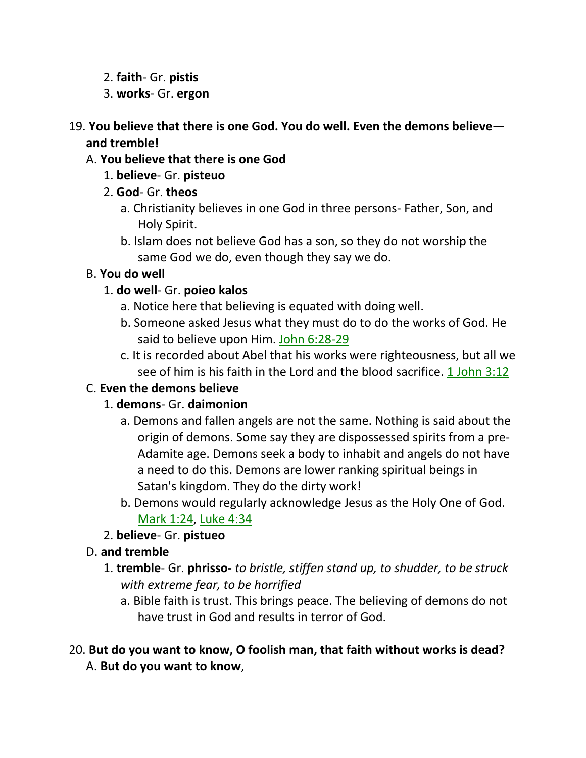- 2. **faith** Gr. **pistis**
- 3. **works** Gr. **ergon**
- 19. **You believe that there is one God. You do well. Even the demons believe and tremble!**

### A. **You believe that there is one God**

- 1. **believe** Gr. **pisteuo**
- 2. **God** Gr. **theos**
	- a. Christianity believes in one God in three persons- Father, Son, and Holy Spirit.
	- b. Islam does not believe God has a son, so they do not worship the same God we do, even though they say we do.

## B. **You do well**

### 1. **do well**- Gr. **poieo kalos**

- a. Notice here that believing is equated with doing well.
- b. Someone asked Jesus what they must do to do the works of God. He said to believe upon Him. John 6:28-29
- c. It is recorded about Abel that his works were righteousness, but all we see of him is his faith in the Lord and the blood sacrifice. 1 John 3:12

## C. **Even the demons believe**

## 1. **demons**- Gr. **daimonion**

- a. Demons and fallen angels are not the same. Nothing is said about the origin of demons. Some say they are dispossessed spirits from a pre-Adamite age. Demons seek a body to inhabit and angels do not have a need to do this. Demons are lower ranking spiritual beings in Satan's kingdom. They do the dirty work!
- b. Demons would regularly acknowledge Jesus as the Holy One of God. Mark 1:24, Luke 4:34

## 2. **believe**- Gr. **pistueo**

## D. **and tremble**

- 1. **tremble** Gr. **phrisso-** *to bristle, stiffen stand up, to shudder, to be struck with extreme fear, to be horrified*
	- a. Bible faith is trust. This brings peace. The believing of demons do not have trust in God and results in terror of God.
- 20. **But do you want to know, O foolish man, that faith without works is dead?** A. **But do you want to know**,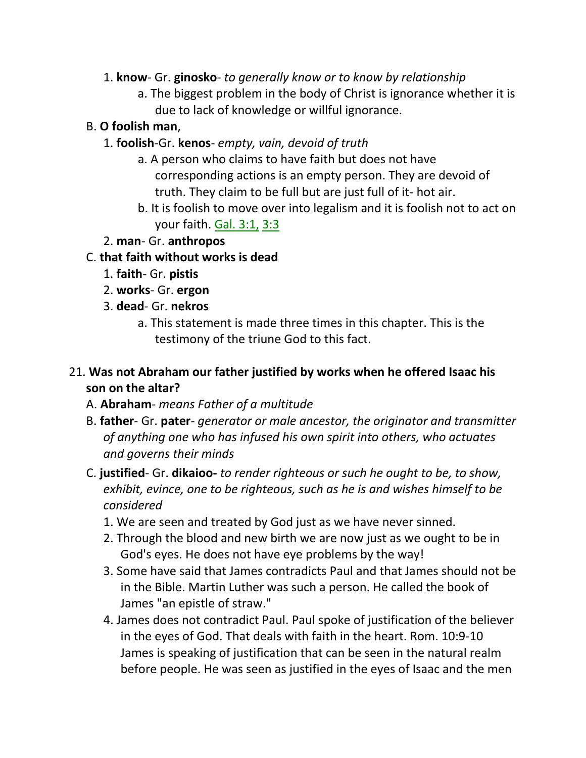- 1. **know** Gr. **ginosko** *to generally know or to know by relationship*
	- a. The biggest problem in the body of Christ is ignorance whether it is due to lack of knowledge or willful ignorance.

# B. **O foolish man**,

- 1. **foolish**-Gr. **kenos** *empty, vain, devoid of truth*
	- a. A person who claims to have faith but does not have corresponding actions is an empty person. They are devoid of truth. They claim to be full but are just full of it- hot air.
	- b. It is foolish to move over into legalism and it is foolish not to act on your faith. Gal. 3:1, 3:3

## 2. **man**- Gr. **anthropos**

## C. **that faith without works is dead**

- 1. **faith** Gr. **pistis**
- 2. **works** Gr. **ergon**
- 3. **dead** Gr. **nekros**
	- a. This statement is made three times in this chapter. This is the testimony of the triune God to this fact.

## 21. **Was not Abraham our father justified by works when he offered Isaac his son on the altar?**

- A. **Abraham** *means Father of a multitude*
- B. **father** Gr. **pater** *generator or male ancestor, the originator and transmitter of anything one who has infused his own spirit into others, who actuates and governs their minds*
- C. **justified** Gr. **dikaioo-** *to render righteous or such he ought to be, to show, exhibit, evince, one to be righteous, such as he is and wishes himself to be considered*
	- 1. We are seen and treated by God just as we have never sinned.
	- 2. Through the blood and new birth we are now just as we ought to be in God's eyes. He does not have eye problems by the way!
	- 3. Some have said that James contradicts Paul and that James should not be in the Bible. Martin Luther was such a person. He called the book of James "an epistle of straw."
	- 4. James does not contradict Paul. Paul spoke of justification of the believer in the eyes of God. That deals with faith in the heart. Rom. 10:9-10 James is speaking of justification that can be seen in the natural realm before people. He was seen as justified in the eyes of Isaac and the men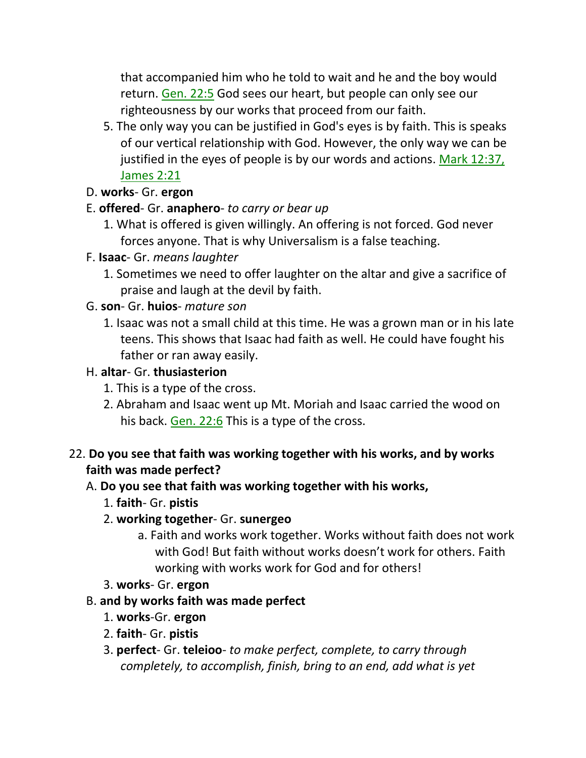that accompanied him who he told to wait and he and the boy would return. Gen. 22:5 God sees our heart, but people can only see our righteousness by our works that proceed from our faith.

5. The only way you can be justified in God's eyes is by faith. This is speaks of our vertical relationship with God. However, the only way we can be justified in the eyes of people is by our words and actions. Mark 12:37, James 2:21

## D. **works**- Gr. **ergon**

## E. **offered**- Gr. **anaphero**- *to carry or bear up*

- 1. What is offered is given willingly. An offering is not forced. God never forces anyone. That is why Universalism is a false teaching.
- F. **Isaac** Gr. *means laughter*
	- 1. Sometimes we need to offer laughter on the altar and give a sacrifice of praise and laugh at the devil by faith.
- G. **son** Gr. **huios** *mature son*
	- 1. Isaac was not a small child at this time. He was a grown man or in his late teens. This shows that Isaac had faith as well. He could have fought his father or ran away easily.

## H. **altar**- Gr. **thusiasterion**

- 1. This is a type of the cross.
- 2. Abraham and Isaac went up Mt. Moriah and Isaac carried the wood on his back. Gen. 22:6 This is a type of the cross.

## 22. **Do you see that faith was working together with his works, and by works faith was made perfect?**

## A. **Do you see that faith was working together with his works,**

- 1. **faith** Gr. **pistis**
- 2. **working together** Gr. **sunergeo**
	- a. Faith and works work together. Works without faith does not work with God! But faith without works doesn't work for others. Faith working with works work for God and for others!
- 3. **works** Gr. **ergon**

## B. **and by works faith was made perfect**

- 1. **works**-Gr. **ergon**
- 2. **faith** Gr. **pistis**
- 3. **perfect** Gr. **teleioo** *to make perfect, complete, to carry through completely, to accomplish, finish, bring to an end, add what is yet*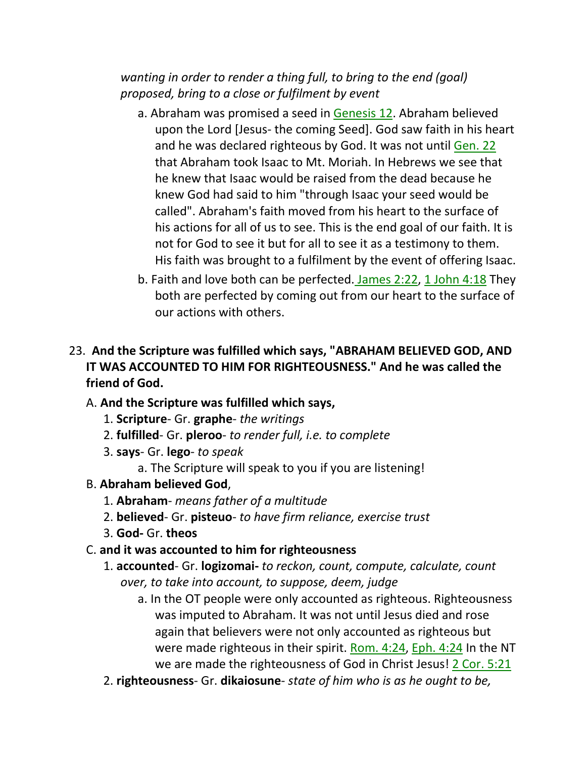*wanting in order to render a thing full, to bring to the end (goal) proposed, bring to a close or fulfilment by event*

- a. Abraham was promised a seed in Genesis 12. Abraham believed upon the Lord [Jesus- the coming Seed]. God saw faith in his heart and he was declared righteous by God. It was not until Gen. 22 that Abraham took Isaac to Mt. Moriah. In Hebrews we see that he knew that Isaac would be raised from the dead because he knew God had said to him "through Isaac your seed would be called". Abraham's faith moved from his heart to the surface of his actions for all of us to see. This is the end goal of our faith. It is not for God to see it but for all to see it as a testimony to them. His faith was brought to a fulfilment by the event of offering Isaac.
- b. Faith and love both can be perfected. James 2:22, 1 John 4:18 They both are perfected by coming out from our heart to the surface of our actions with others.

## 23. **And the Scripture was fulfilled which says, "ABRAHAM BELIEVED GOD, AND IT WAS ACCOUNTED TO HIM FOR RIGHTEOUSNESS." And he was called the friend of God.**

## A. **And the Scripture was fulfilled which says,**

- 1. **Scripture** Gr. **graphe** *the writings*
- 2. **fulfilled** Gr. **pleroo** *to render full, i.e. to complete*
- 3. **says** Gr. **lego** *to speak*
	- a. The Scripture will speak to you if you are listening!

## B. **Abraham believed God**,

- 1. **Abraham** *means father of a multitude*
- 2. **believed** Gr. **pisteuo** *to have firm reliance, exercise trust*
- 3. **God-** Gr. **theos**

## C. **and it was accounted to him for righteousness**

- 1. **accounted** Gr. **logizomai-** *to reckon, count, compute, calculate, count over, to take into account, to suppose, deem, judge*
	- a. In the OT people were only accounted as righteous. Righteousness was imputed to Abraham. It was not until Jesus died and rose again that believers were not only accounted as righteous but were made righteous in their spirit. Rom. 4:24, Eph. 4:24 In the NT we are made the righteousness of God in Christ Jesus! 2 Cor. 5:21
- 2. **righteousness** Gr. **dikaiosune** *state of him who is as he ought to be,*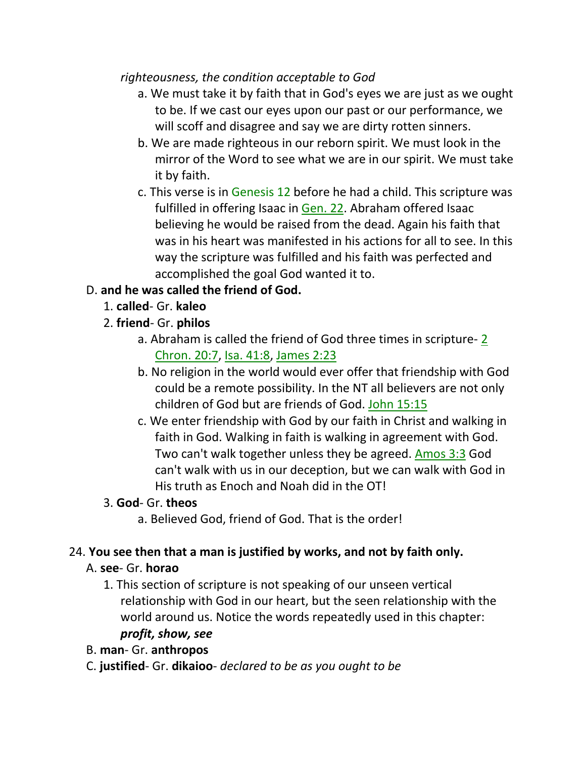*righteousness, the condition acceptable to God*

- a. We must take it by faith that in God's eyes we are just as we ought to be. If we cast our eyes upon our past or our performance, we will scoff and disagree and say we are dirty rotten sinners.
- b. We are made righteous in our reborn spirit. We must look in the mirror of the Word to see what we are in our spirit. We must take it by faith.
- c. This verse is in Genesis 12 before he had a child. This scripture was fulfilled in offering Isaac in Gen. 22. Abraham offered Isaac believing he would be raised from the dead. Again his faith that was in his heart was manifested in his actions for all to see. In this way the scripture was fulfilled and his faith was perfected and accomplished the goal God wanted it to.

# D. **and he was called the friend of God.**

- 1. **called** Gr. **kaleo**
- 2. **friend** Gr. **philos**
	- a. Abraham is called the friend of God three times in scripture- 2 Chron. 20:7, Isa. 41:8, James 2:23
	- b. No religion in the world would ever offer that friendship with God could be a remote possibility. In the NT all believers are not only children of God but are friends of God. John 15:15
	- c. We enter friendship with God by our faith in Christ and walking in faith in God. Walking in faith is walking in agreement with God. Two can't walk together unless they be agreed. Amos 3:3 God can't walk with us in our deception, but we can walk with God in His truth as Enoch and Noah did in the OT!

## 3. **God**- Gr. **theos**

a. Believed God, friend of God. That is the order!

## 24. **You see then that a man is justified by works, and not by faith only.**

## A. **see**- Gr. **horao**

- 1. This section of scripture is not speaking of our unseen vertical relationship with God in our heart, but the seen relationship with the world around us. Notice the words repeatedly used in this chapter: *profit, show, see*
- B. **man** Gr. **anthropos**
- C. **justified** Gr. **dikaioo** *declared to be as you ought to be*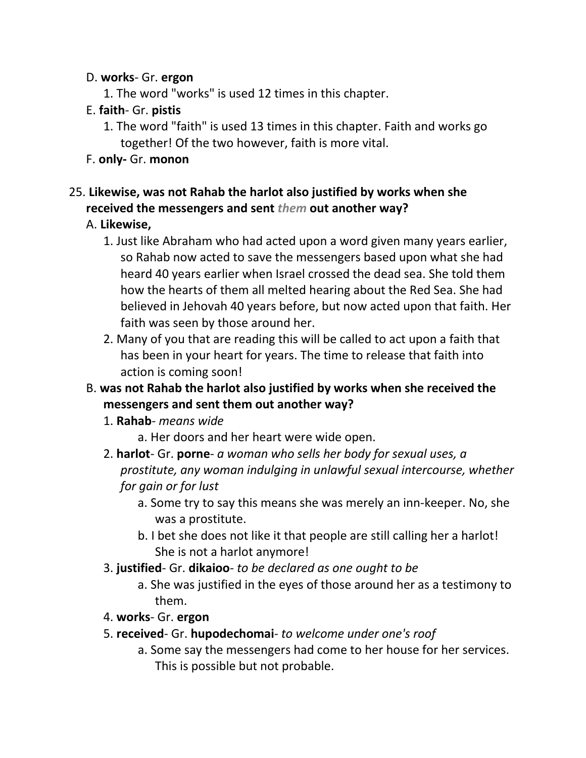#### D. **works**- Gr. **ergon**

1. The word "works" is used 12 times in this chapter.

## E. **faith**- Gr. **pistis**

1. The word "faith" is used 13 times in this chapter. Faith and works go together! Of the two however, faith is more vital.

## F. **only-** Gr. **monon**

# 25. **Likewise, was not Rahab the harlot also justified by works when she received the messengers and sent** *them* **out another way?**

## A. **Likewise,**

- 1. Just like Abraham who had acted upon a word given many years earlier, so Rahab now acted to save the messengers based upon what she had heard 40 years earlier when Israel crossed the dead sea. She told them how the hearts of them all melted hearing about the Red Sea. She had believed in Jehovah 40 years before, but now acted upon that faith. Her faith was seen by those around her.
- 2. Many of you that are reading this will be called to act upon a faith that has been in your heart for years. The time to release that faith into action is coming soon!

## B. **was not Rahab the harlot also justified by works when she received the messengers and sent them out another way?**

- 1. **Rahab** *means wide*
	- a. Her doors and her heart were wide open.
- 2. **harlot** Gr. **porne** *a woman who sells her body for sexual uses, a prostitute, any woman indulging in unlawful sexual intercourse, whether for gain or for lust*
	- a. Some try to say this means she was merely an inn-keeper. No, she was a prostitute.
	- b. I bet she does not like it that people are still calling her a harlot! She is not a harlot anymore!
- 3. **justified** Gr. **dikaioo** *to be declared as one ought to be*
	- a. She was justified in the eyes of those around her as a testimony to them.
- 4. **works** Gr. **ergon**
- 5. **received** Gr. **hupodechomai** *to welcome under one's roof*
	- a. Some say the messengers had come to her house for her services. This is possible but not probable.